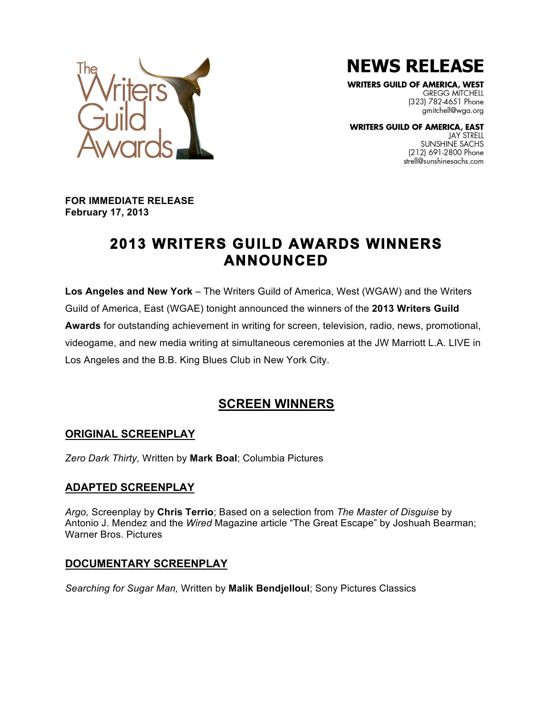**NEWS RELEASE** 

**WRITERS GUILD OF AMERICA, WEST GREGG MITCHELL** (323) 782-4651 Phone gmitchell@wga.org

**WRITERS GUILD OF AMERICA, EAST** JAY STRELL SUNSHINE SACHS (212) 691-2800 Phone strell@sunshinesachs.com



**FOR IMMEDIATE RELEASE February 17, 2013**

# **2013 WRITERS GUILD AWARDS WINNERS ANNOUNCED**

**Los Angeles and New York** – The Writers Guild of America, West (WGAW) and the Writers Guild of America, East (WGAE) tonight announced the winners of the **2013 Writers Guild Awards** for outstanding achievement in writing for screen, television, radio, news, promotional, videogame, and new media writing at simultaneous ceremonies at the JW Marriott L.A. LIVE in Los Angeles and the B.B. King Blues Club in New York City.

## **SCREEN WINNERS**

## **ORIGINAL SCREENPLAY**

*Zero Dark Thirty,* Written by **Mark Boal**; Columbia Pictures

### **ADAPTED SCREENPLAY**

*Argo,* Screenplay by **Chris Terrio**; Based on a selection from *The Master of Disguise* by Antonio J. Mendez and the *Wired* Magazine article "The Great Escape" by Joshuah Bearman; Warner Bros. Pictures

## **DOCUMENTARY SCREENPLAY**

*Searching for Sugar Man,* Written by **Malik Bendjelloul**; Sony Pictures Classics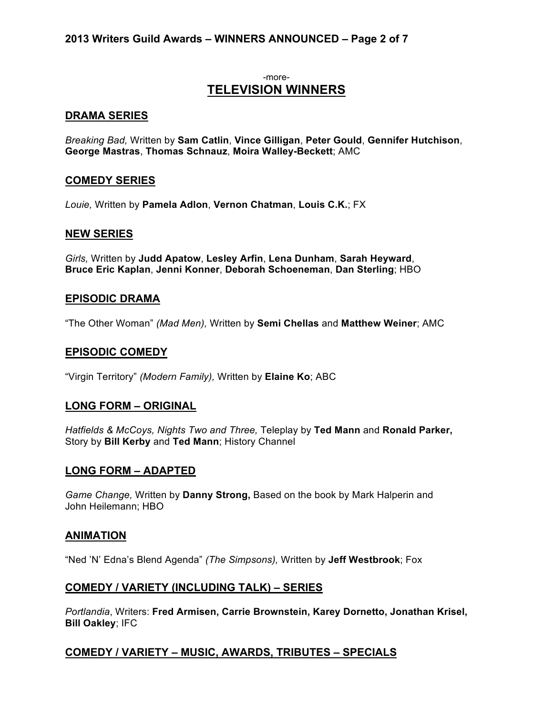#### **2013 Writers Guild Awards – WINNERS ANNOUNCED – Page 2 of 7**

#### -more-**TELEVISION WINNERS**

#### **DRAMA SERIES**

*Breaking Bad,* Written by **Sam Catlin**, **Vince Gilligan**, **Peter Gould**, **Gennifer Hutchison**, **George Mastras**, **Thomas Schnauz**, **Moira Walley-Beckett**; AMC

#### **COMEDY SERIES**

*Louie,* Written by **Pamela Adlon**, **Vernon Chatman**, **Louis C.K.**; FX

#### **NEW SERIES**

*Girls,* Written by **Judd Apatow**, **Lesley Arfin**, **Lena Dunham**, **Sarah Heyward**, **Bruce Eric Kaplan**, **Jenni Konner**, **Deborah Schoeneman**, **Dan Sterling**; HBO

#### **EPISODIC DRAMA**

"The Other Woman" *(Mad Men),* Written by **Semi Chellas** and **Matthew Weiner**; AMC

#### **EPISODIC COMEDY**

"Virgin Territory" *(Modern Family),* Written by **Elaine Ko**; ABC

#### **LONG FORM – ORIGINAL**

*Hatfields & McCoys, Nights Two and Three,* Teleplay by **Ted Mann** and **Ronald Parker,** Story by **Bill Kerby** and **Ted Mann**; History Channel

#### **LONG FORM – ADAPTED**

*Game Change,* Written by **Danny Strong,** Based on the book by Mark Halperin and John Heilemann; HBO

#### **ANIMATION**

"Ned 'N' Edna's Blend Agenda" *(The Simpsons),* Written by **Jeff Westbrook**; Fox

#### **COMEDY / VARIETY (INCLUDING TALK) – SERIES**

*Portlandia*, Writers: **Fred Armisen, Carrie Brownstein, Karey Dornetto, Jonathan Krisel, Bill Oakley**; IFC

#### **COMEDY / VARIETY – MUSIC, AWARDS, TRIBUTES – SPECIALS**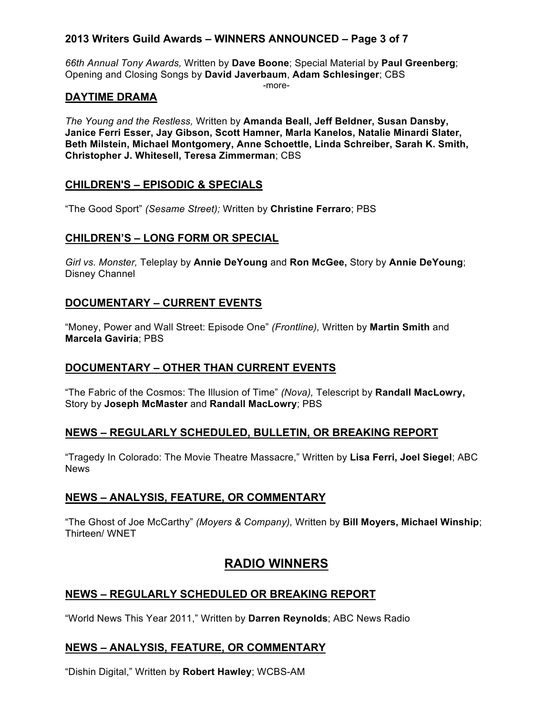## **2013 Writers Guild Awards – WINNERS ANNOUNCED – Page 3 of 7**

*66th Annual Tony Awards,* Written by **Dave Boone**; Special Material by **Paul Greenberg**; Opening and Closing Songs by **David Javerbaum**, **Adam Schlesinger**; CBS

-more-

#### **DAYTIME DRAMA**

*The Young and the Restless,* Written by **Amanda Beall, Jeff Beldner, Susan Dansby, Janice Ferri Esser, Jay Gibson, Scott Hamner, Marla Kanelos, Natalie Minardi Slater, Beth Milstein, Michael Montgomery, Anne Schoettle, Linda Schreiber, Sarah K. Smith, Christopher J. Whitesell, Teresa Zimmerman**; CBS

## **CHILDREN'S – EPISODIC & SPECIALS**

"The Good Sport" *(Sesame Street);* Written by **Christine Ferraro**; PBS

## **CHILDREN'S – LONG FORM OR SPECIAL**

*Girl vs. Monster,* Teleplay by **Annie DeYoung** and **Ron McGee,** Story by **Annie DeYoung**; Disney Channel

### **DOCUMENTARY – CURRENT EVENTS**

"Money, Power and Wall Street: Episode One" *(Frontline),* Written by **Martin Smith** and **Marcela Gaviria**; PBS

### **DOCUMENTARY – OTHER THAN CURRENT EVENTS**

"The Fabric of the Cosmos: The Illusion of Time" *(Nova),* Telescript by **Randall MacLowry,**  Story by **Joseph McMaster** and **Randall MacLowry**; PBS

### **NEWS – REGULARLY SCHEDULED, BULLETIN, OR BREAKING REPORT**

"Tragedy In Colorado: The Movie Theatre Massacre," Written by **Lisa Ferri, Joel Siegel**; ABC News

### **NEWS – ANALYSIS, FEATURE, OR COMMENTARY**

"The Ghost of Joe McCarthy" *(Moyers & Company),* Written by **Bill Moyers, Michael Winship**; Thirteen/ WNET

## **RADIO WINNERS**

### **NEWS – REGULARLY SCHEDULED OR BREAKING REPORT**

"World News This Year 2011," Written by **Darren Reynolds**; ABC News Radio

### **NEWS – ANALYSIS, FEATURE, OR COMMENTARY**

"Dishin Digital," Written by **Robert Hawley**; WCBS-AM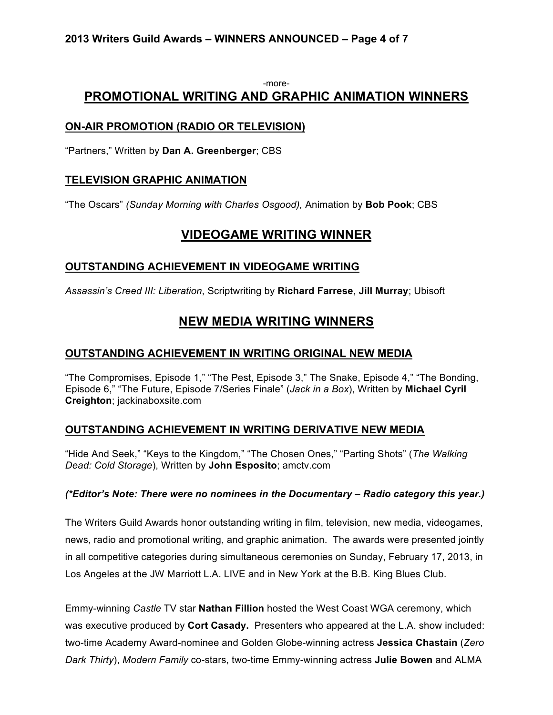#### -more-**PROMOTIONAL WRITING AND GRAPHIC ANIMATION WINNERS**

## **ON-AIR PROMOTION (RADIO OR TELEVISION)**

"Partners," Written by **Dan A. Greenberger**; CBS

### **TELEVISION GRAPHIC ANIMATION**

"The Oscars" *(Sunday Morning with Charles Osgood),* Animation by **Bob Pook**; CBS

## **VIDEOGAME WRITING WINNER**

### **OUTSTANDING ACHIEVEMENT IN VIDEOGAME WRITING**

*Assassin's Creed III: Liberation*, Scriptwriting by **Richard Farrese**, **Jill Murray**; Ubisoft

## **NEW MEDIA WRITING WINNERS**

## **OUTSTANDING ACHIEVEMENT IN WRITING ORIGINAL NEW MEDIA**

"The Compromises, Episode 1," "The Pest, Episode 3," The Snake, Episode 4," "The Bonding, Episode 6," "The Future, Episode 7/Series Finale" (*Jack in a Box*), Written by **Michael Cyril Creighton**; jackinaboxsite.com

## **OUTSTANDING ACHIEVEMENT IN WRITING DERIVATIVE NEW MEDIA**

"Hide And Seek," "Keys to the Kingdom," "The Chosen Ones," "Parting Shots" (*The Walking Dead: Cold Storage*), Written by **John Esposito**; amctv.com

### *(\*Editor's Note: There were no nominees in the Documentary – Radio category this year.)*

The Writers Guild Awards honor outstanding writing in film, television, new media, videogames, news, radio and promotional writing, and graphic animation. The awards were presented jointly in all competitive categories during simultaneous ceremonies on Sunday, February 17, 2013, in Los Angeles at the JW Marriott L.A. LIVE and in New York at the B.B. King Blues Club.

Emmy-winning *Castle* TV star **Nathan Fillion** hosted the West Coast WGA ceremony, which was executive produced by **Cort Casady.** Presenters who appeared at the L.A. show included: two-time Academy Award-nominee and Golden Globe-winning actress **Jessica Chastain** (*Zero Dark Thirty*), *Modern Family* co-stars, two-time Emmy-winning actress **Julie Bowen** and ALMA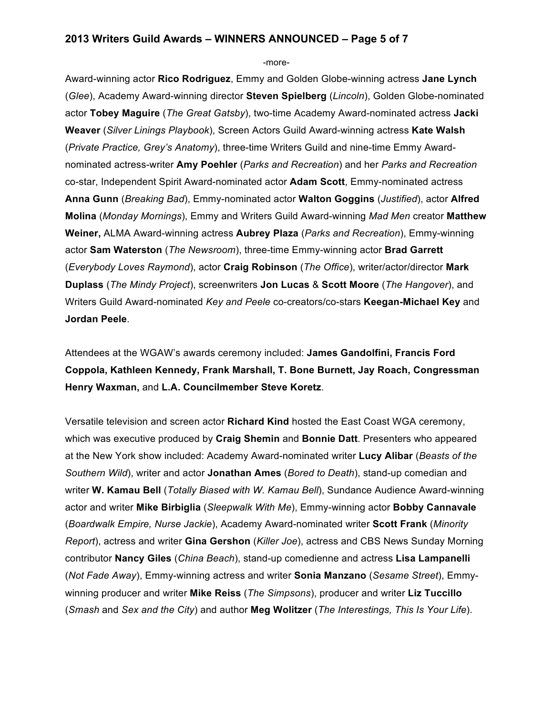#### **2013 Writers Guild Awards – WINNERS ANNOUNCED – Page 5 of 7**

-more-

Award-winning actor **Rico Rodriguez**, Emmy and Golden Globe-winning actress **Jane Lynch** (*Glee*), Academy Award-winning director **Steven Spielberg** (*Lincoln*), Golden Globe-nominated actor **Tobey Maguire** (*The Great Gatsby*), two-time Academy Award-nominated actress **Jacki Weaver** (*Silver Linings Playbook*), Screen Actors Guild Award-winning actress **Kate Walsh** (*Private Practice, Grey's Anatomy*), three-time Writers Guild and nine-time Emmy Awardnominated actress-writer **Amy Poehler** (*Parks and Recreation*) and her *Parks and Recreation*  co-star, Independent Spirit Award-nominated actor **Adam Scott**, Emmy-nominated actress **Anna Gunn** (*Breaking Bad*), Emmy-nominated actor **Walton Goggins** (*Justified*), actor **Alfred Molina** (*Monday Mornings*), Emmy and Writers Guild Award-winning *Mad Men* creator **Matthew Weiner,** ALMA Award-winning actress **Aubrey Plaza** (*Parks and Recreation*), Emmy-winning actor **Sam Waterston** (*The Newsroom*), three-time Emmy-winning actor **Brad Garrett** (*Everybody Loves Raymond*), actor **Craig Robinson** (*The Office*), writer/actor/director **Mark Duplass** (*The Mindy Project*), screenwriters **Jon Lucas** & **Scott Moore** (*The Hangover*), and Writers Guild Award-nominated *Key and Peele* co-creators/co-stars **Keegan-Michael Key** and **Jordan Peele**.

Attendees at the WGAW's awards ceremony included: **James Gandolfini, Francis Ford Coppola, Kathleen Kennedy, Frank Marshall, T. Bone Burnett, Jay Roach, Congressman Henry Waxman,** and **L.A. Councilmember Steve Koretz**.

Versatile television and screen actor **Richard Kind** hosted the East Coast WGA ceremony, which was executive produced by **Craig Shemin** and **Bonnie Datt**. Presenters who appeared at the New York show included: Academy Award-nominated writer **Lucy Alibar** (*Beasts of the Southern Wild*), writer and actor **Jonathan Ames** (*Bored to Death*), stand-up comedian and writer **W. Kamau Bell** (*Totally Biased with W. Kamau Bell*), Sundance Audience Award-winning actor and writer **Mike Birbiglia** (*Sleepwalk With Me*), Emmy-winning actor **Bobby Cannavale** (*Boardwalk Empire, Nurse Jackie*), Academy Award-nominated writer **Scott Frank** (*Minority Report*), actress and writer **Gina Gershon** (*Killer Joe*), actress and CBS News Sunday Morning contributor **Nancy Giles** (*China Beach*), stand-up comedienne and actress **Lisa Lampanelli** (*Not Fade Away*), Emmy-winning actress and writer **Sonia Manzano** (*Sesame Street*), Emmywinning producer and writer **Mike Reiss** (*The Simpsons*), producer and writer **Liz Tuccillo** (*Smash* and *Sex and the City*) and author **Meg Wolitzer** (*The Interestings, This Is Your Life*).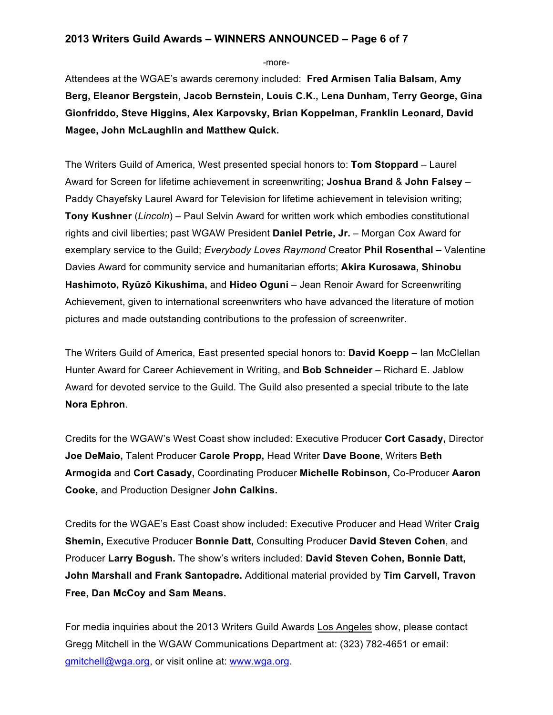#### **2013 Writers Guild Awards – WINNERS ANNOUNCED – Page 6 of 7**

-more-

Attendees at the WGAE's awards ceremony included: **Fred Armisen Talia Balsam, Amy Berg, Eleanor Bergstein, Jacob Bernstein, Louis C.K., Lena Dunham, Terry George, Gina Gionfriddo, Steve Higgins, Alex Karpovsky, Brian Koppelman, Franklin Leonard, David Magee, John McLaughlin and Matthew Quick.**

The Writers Guild of America, West presented special honors to: **Tom Stoppard** – Laurel Award for Screen for lifetime achievement in screenwriting; **Joshua Brand** & **John Falsey** – Paddy Chayefsky Laurel Award for Television for lifetime achievement in television writing; **Tony Kushner** (*Lincoln*) – Paul Selvin Award for written work which embodies constitutional rights and civil liberties; past WGAW President **Daniel Petrie, Jr.** – Morgan Cox Award for exemplary service to the Guild; *Everybody Loves Raymond* Creator **Phil Rosenthal** – Valentine Davies Award for community service and humanitarian efforts; **Akira Kurosawa, Shinobu Hashimoto, Ryûzô Kikushima,** and **Hideo Oguni** – Jean Renoir Award for Screenwriting Achievement, given to international screenwriters who have advanced the literature of motion pictures and made outstanding contributions to the profession of screenwriter.

The Writers Guild of America, East presented special honors to: **David Koepp** – Ian McClellan Hunter Award for Career Achievement in Writing, and **Bob Schneider** – Richard E. Jablow Award for devoted service to the Guild. The Guild also presented a special tribute to the late **Nora Ephron**.

Credits for the WGAW's West Coast show included: Executive Producer **Cort Casady,** Director **Joe DeMaio,** Talent Producer **Carole Propp,** Head Writer **Dave Boone**, Writers **Beth Armogida** and **Cort Casady,** Coordinating Producer **Michelle Robinson,** Co-Producer **Aaron Cooke,** and Production Designer **John Calkins.**

Credits for the WGAE's East Coast show included: Executive Producer and Head Writer **Craig Shemin,** Executive Producer **Bonnie Datt,** Consulting Producer **David Steven Cohen**, and Producer **Larry Bogush.** The show's writers included: **David Steven Cohen, Bonnie Datt, John Marshall and Frank Santopadre.** Additional material provided by **Tim Carvell, Travon Free, Dan McCoy and Sam Means.**

For media inquiries about the 2013 Writers Guild Awards Los Angeles show, please contact Gregg Mitchell in the WGAW Communications Department at: (323) 782-4651 or email: gmitchell@wga.org, or visit online at: www.wga.org.